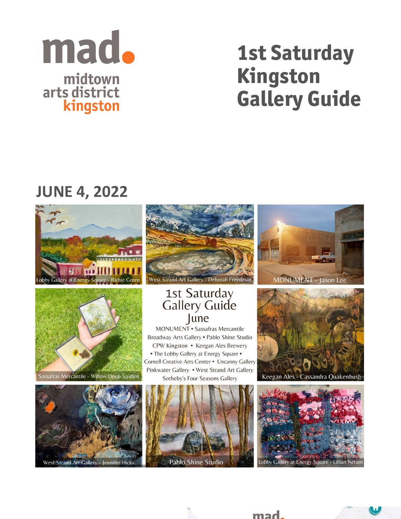

# 1st Saturday Kingston Gallery Guide

## **JUNE 4, 2022**





Sassafras Mercantile - Willow Deep Studios



West Strand Art Gallery - Deborah Freedman

### 1st Saturday **Gallery Guide** lune

**MONUMENT** · Sassafras Mercantile Broadway Arts Gallery . Pablo Shine Studio CPW Kingston • Keegan Ales Brewery • The Lobby Gallery at Energy Square • Cornell Creative Arts Center . Uncanny Gallery Pinkwater Gallery . West Strand Art Gallery Sotheby's Four Seasons Gallery







Keegan Ales - Cassandra Quakenbush